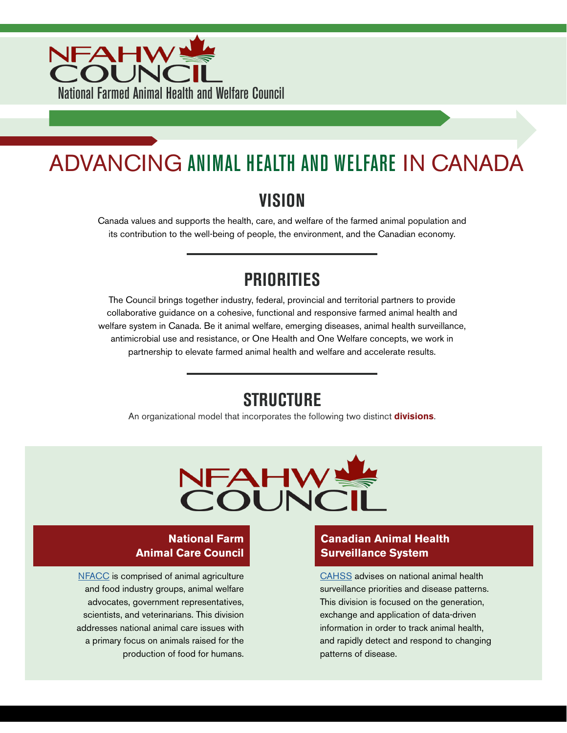

# ADVANCING ANIMAL HEALTH AND WELFARE IN CANADA

### **VISION**

Canada values and supports the health, care, and welfare of the farmed animal population and its contribution to the well-being of people, the environment, and the Canadian economy.

### **PRIORITIES**

The Council brings together industry, federal, provincial and territorial partners to provide collaborative guidance on a cohesive, functional and responsive farmed animal health and welfare system in Canada. Be it animal welfare, emerging diseases, animal health surveillance, antimicrobial use and resistance, or One Health and One Welfare concepts, we work in partnership to elevate farmed animal health and welfare and accelerate results.

### **STRUCTURE**

An organizational model that incorporates the following two distinct **divisions**.



#### **National Farm Animal Care Council**

[NFACC](https://www.nfacc.ca) is comprised of animal agriculture and food industry groups, animal welfare advocates, government representatives, scientists, and veterinarians. This division addresses national animal care issues with a primary focus on animals raised for the production of food for humans.

#### **Canadian Animal Health Surveillance System**

[CAHSS](https://www.cahss.ca/) advises on national animal health surveillance priorities and disease patterns. This division is focused on the generation, exchange and application of data-driven information in order to track animal health, and rapidly detect and respond to changing patterns of disease.